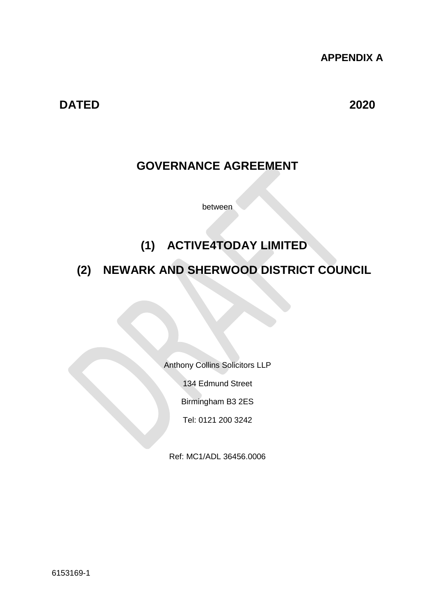**APPENDIX A**

**DATED 2020**

## **GOVERNANCE AGREEMENT**

between

## **(1) ACTIVE4TODAY LIMITED**

## **(2) NEWARK AND SHERWOOD DISTRICT COUNCIL**

Anthony Collins Solicitors LLP

134 Edmund Street

Birmingham B3 2ES

Tel: 0121 200 3242

Ref: MC1/ADL 36456.0006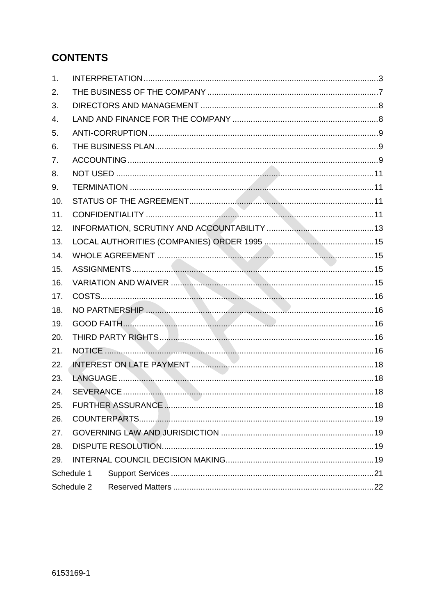## **CONTENTS**

| 1.         |            |  |  |  |  |
|------------|------------|--|--|--|--|
| 2.         |            |  |  |  |  |
| 3.         |            |  |  |  |  |
| 4.         |            |  |  |  |  |
| 5.         |            |  |  |  |  |
| 6.         |            |  |  |  |  |
| 7.         |            |  |  |  |  |
| 8.         |            |  |  |  |  |
| 9.         |            |  |  |  |  |
| 10.        |            |  |  |  |  |
| 11.        |            |  |  |  |  |
| 12.        |            |  |  |  |  |
| 13.        |            |  |  |  |  |
| 14.        |            |  |  |  |  |
| 15.        |            |  |  |  |  |
| 16.        |            |  |  |  |  |
| 17.        |            |  |  |  |  |
| 18.        |            |  |  |  |  |
| 19.        |            |  |  |  |  |
| 20.        |            |  |  |  |  |
| 21.        |            |  |  |  |  |
| 22.        |            |  |  |  |  |
| 23.        |            |  |  |  |  |
| 24.        |            |  |  |  |  |
| 25.        |            |  |  |  |  |
| 26.        |            |  |  |  |  |
| 27.        |            |  |  |  |  |
| 28.        |            |  |  |  |  |
| 29.        |            |  |  |  |  |
|            | Schedule 1 |  |  |  |  |
| Schedule 2 |            |  |  |  |  |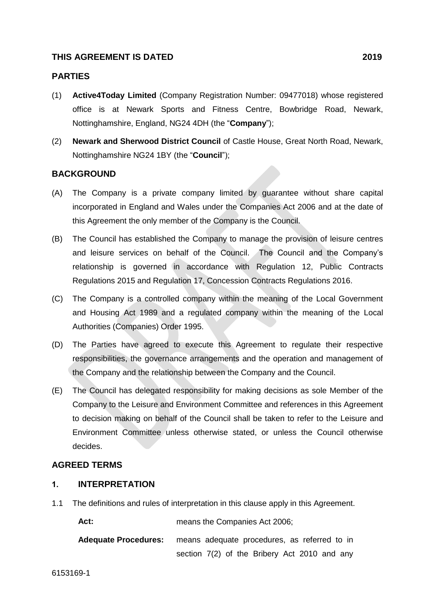#### **THIS AGREEMENT IS DATED 2019**

#### **PARTIES**

- (1) **Active4Today Limited** (Company Registration Number: 09477018) whose registered office is at Newark Sports and Fitness Centre, Bowbridge Road, Newark, Nottinghamshire, England, NG24 4DH (the "**Company**");
- (2) **Newark and Sherwood District Council** of Castle House, Great North Road, Newark, Nottinghamshire NG24 1BY (the "**Council**");

#### **BACKGROUND**

- (A) The Company is a private company limited by guarantee without share capital incorporated in England and Wales under the Companies Act 2006 and at the date of this Agreement the only member of the Company is the Council.
- (B) The Council has established the Company to manage the provision of leisure centres and leisure services on behalf of the Council. The Council and the Company's relationship is governed in accordance with Regulation 12, Public Contracts Regulations 2015 and Regulation 17, Concession Contracts Regulations 2016.
- (C) The Company is a controlled company within the meaning of the Local Government and Housing Act 1989 and a regulated company within the meaning of the Local Authorities (Companies) Order 1995.
- (D) The Parties have agreed to execute this Agreement to regulate their respective responsibilities, the governance arrangements and the operation and management of the Company and the relationship between the Company and the Council.
- (E) The Council has delegated responsibility for making decisions as sole Member of the Company to the Leisure and Environment Committee and references in this Agreement to decision making on behalf of the Council shall be taken to refer to the Leisure and Environment Committee unless otherwise stated, or unless the Council otherwise decides.

#### **AGREED TERMS**

#### <span id="page-2-0"></span>**1. INTERPRETATION**

1.1 The definitions and rules of interpretation in this clause apply in this Agreement.

Act: **Act: heans the Companies Act 2006;** 

```
Adequate Procedures: means adequate procedures, as referred to in 
           section 7(2) of the Bribery Act 2010 and any
```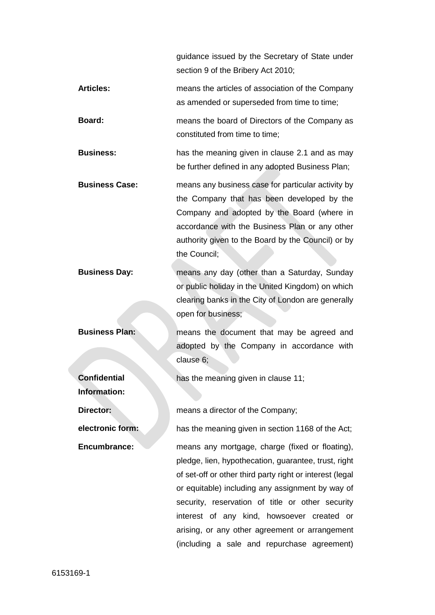guidance issued by the Secretary of State under section 9 of the Bribery Act 2010;

- **Articles:** means the articles of association of the Company as amended or superseded from time to time;
- **Board:** means the board of Directors of the Company as constituted from time to time;

**Business:** has the meaning given in clause [2.1](#page-6-1) and as may be further defined in any adopted Business Plan;

- **Business Case:** means any business case for particular activity by the Company that has been developed by the Company and adopted by the Board (where in accordance with the Business Plan or any other authority given to the Board by the Council) or by the Council;
- **Business Day:** means any day (other than a Saturday, Sunday or public holiday in the United Kingdom) on which clearing banks in the City of London are generally open for business;
- **Business Plan: neans the document that may be agreed and** adopted by the Company in accordance with clause 6;

has the meaning given in clause [11;](#page-10-3)

**Confidential Information:** 

**Director: means a director of the Company;** 

**electronic form:** has the meaning given in section 1168 of the Act;

**Encumbrance: means any mortgage, charge (fixed or floating),** pledge, lien, hypothecation, guarantee, trust, right of set-off or other third party right or interest (legal or equitable) including any assignment by way of security, reservation of title or other security interest of any kind, howsoever created or arising, or any other agreement or arrangement (including a sale and repurchase agreement)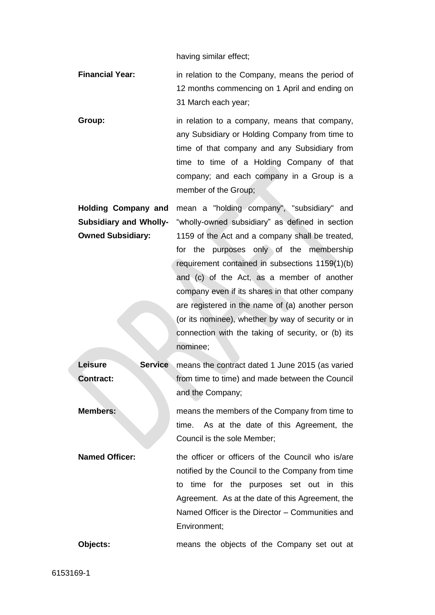having similar effect;

- **Financial Year:** in relation to the Company, means the period of 12 months commencing on 1 April and ending on 31 March each year;
- **Group:** in relation to a company, means that company, any Subsidiary or Holding Company from time to time of that company and any Subsidiary from time to time of a Holding Company of that company; and each company in a Group is a member of the Group;

**Holding Company and Subsidiary and Wholly-Owned Subsidiary:**  mean a "holding company", "subsidiary" and "wholly-owned subsidiary" as defined in section 1159 of the Act and a company shall be treated, for the purposes only of the membership requirement contained in subsections 1159(1)(b) and (c) of the Act, as a member of another company even if its shares in that other company are registered in the name of (a) another person (or its nominee), whether by way of security or in connection with the taking of security, or (b) its nominee;

**Leisure Service Contract:** means the contract dated 1 June 2015 (as varied from time to time) and made between the Council and the Company; **Members: Members:** means the members of the Company from time to time. As at the date of this Agreement, the Council is the sole Member; **Named Officer:** the officer or officers of the Council who is/are notified by the Council to the Company from time to time for the purposes set out in this Agreement. As at the date of this Agreement, the Named Officer is the Director – Communities and Environment; **Objects:** means the objects of the Company set out at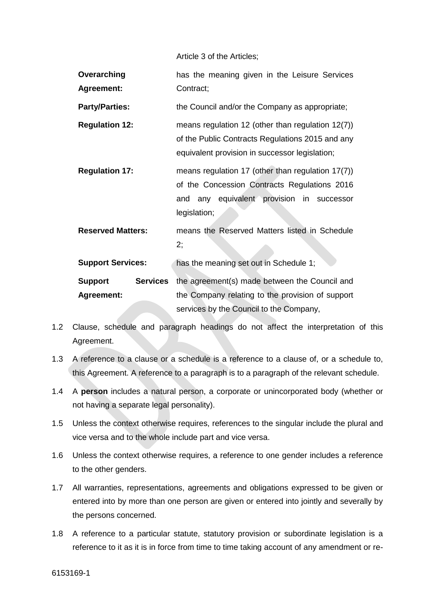Article 3 of the Articles;

| Overarching<br><b>Agreement:</b> |                 | has the meaning given in the Leisure Services<br>Contract;                                                                                                     |
|----------------------------------|-----------------|----------------------------------------------------------------------------------------------------------------------------------------------------------------|
| <b>Party/Parties:</b>            |                 | the Council and/or the Company as appropriate;                                                                                                                 |
| <b>Regulation 12:</b>            |                 | means regulation 12 (other than regulation $12(7)$ )<br>of the Public Contracts Regulations 2015 and any<br>equivalent provision in successor legislation;     |
| <b>Regulation 17:</b>            |                 | means regulation 17 (other than regulation 17(7))<br>of the Concession Contracts Regulations 2016<br>and any equivalent provision in successor<br>legislation; |
| <b>Reserved Matters:</b>         |                 | means the Reserved Matters listed in Schedule<br>2;                                                                                                            |
| <b>Support Services:</b>         |                 | has the meaning set out in Schedule 1;                                                                                                                         |
| Support<br><b>Agreement:</b>     | <b>Services</b> | the agreement(s) made between the Council and<br>the Company relating to the provision of support<br>services by the Council to the Company,                   |

- 1.2 Clause, schedule and paragraph headings do not affect the interpretation of this Agreement.
- 1.3 A reference to a clause or a schedule is a reference to a clause of, or a schedule to, this Agreement. A reference to a paragraph is to a paragraph of the relevant schedule.
- 1.4 A **person** includes a natural person, a corporate or unincorporated body (whether or not having a separate legal personality).
- 1.5 Unless the context otherwise requires, references to the singular include the plural and vice versa and to the whole include part and vice versa.
- 1.6 Unless the context otherwise requires, a reference to one gender includes a reference to the other genders.
- 1.7 All warranties, representations, agreements and obligations expressed to be given or entered into by more than one person are given or entered into jointly and severally by the persons concerned.
- 1.8 A reference to a particular statute, statutory provision or subordinate legislation is a reference to it as it is in force from time to time taking account of any amendment or re-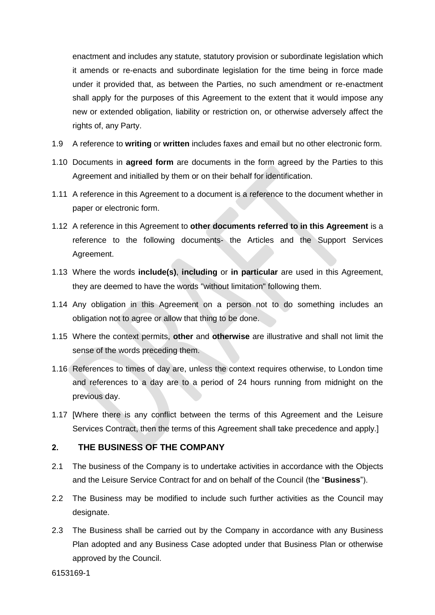enactment and includes any statute, statutory provision or subordinate legislation which it amends or re-enacts and subordinate legislation for the time being in force made under it provided that, as between the Parties, no such amendment or re-enactment shall apply for the purposes of this Agreement to the extent that it would impose any new or extended obligation, liability or restriction on, or otherwise adversely affect the rights of, any Party.

- 1.9 A reference to **writing** or **written** includes faxes and email but no other electronic form.
- 1.10 Documents in **agreed form** are documents in the form agreed by the Parties to this Agreement and initialled by them or on their behalf for identification.
- 1.11 A reference in this Agreement to a document is a reference to the document whether in paper or electronic form.
- 1.12 A reference in this Agreement to **other documents referred to in this Agreement** is a reference to the following documents- the Articles and the Support Services Agreement.
- 1.13 Where the words **include(s)**, **including** or **in particular** are used in this Agreement, they are deemed to have the words "without limitation" following them.
- 1.14 Any obligation in this Agreement on a person not to do something includes an obligation not to agree or allow that thing to be done.
- 1.15 Where the context permits, **other** and **otherwise** are illustrative and shall not limit the sense of the words preceding them.
- 1.16 References to times of day are, unless the context requires otherwise, to London time and references to a day are to a period of 24 hours running from midnight on the previous day.
- 1.17 [Where there is any conflict between the terms of this Agreement and the Leisure Services Contract, then the terms of this Agreement shall take precedence and apply.]

#### <span id="page-6-0"></span>**2. THE BUSINESS OF THE COMPANY**

- <span id="page-6-1"></span>2.1 The business of the Company is to undertake activities in accordance with the Objects and the Leisure Service Contract for and on behalf of the Council (the "**Business**").
- 2.2 The Business may be modified to include such further activities as the Council may designate.
- 2.3 The Business shall be carried out by the Company in accordance with any Business Plan adopted and any Business Case adopted under that Business Plan or otherwise approved by the Council.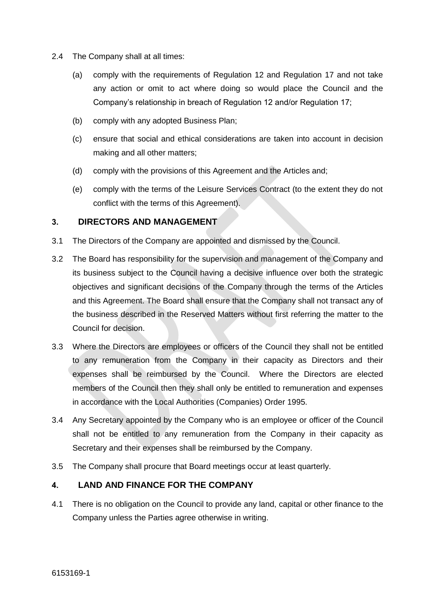- 2.4 The Company shall at all times:
	- (a) comply with the requirements of Regulation 12 and Regulation 17 and not take any action or omit to act where doing so would place the Council and the Company's relationship in breach of Regulation 12 and/or Regulation 17;
	- (b) comply with any adopted Business Plan;
	- (c) ensure that social and ethical considerations are taken into account in decision making and all other matters;
	- (d) comply with the provisions of this Agreement and the Articles and;
	- (e) comply with the terms of the Leisure Services Contract (to the extent they do not conflict with the terms of this Agreement).

#### <span id="page-7-0"></span>**3. DIRECTORS AND MANAGEMENT**

- 3.1 The Directors of the Company are appointed and dismissed by the Council.
- 3.2 The Board has responsibility for the supervision and management of the Company and its business subject to the Council having a decisive influence over both the strategic objectives and significant decisions of the Company through the terms of the Articles and this Agreement. The Board shall ensure that the Company shall not transact any of the business described in the Reserved Matters without first referring the matter to the Council for decision.
- 3.3 Where the Directors are employees or officers of the Council they shall not be entitled to any remuneration from the Company in their capacity as Directors and their expenses shall be reimbursed by the Council. Where the Directors are elected members of the Council then they shall only be entitled to remuneration and expenses in accordance with the Local Authorities (Companies) Order 1995.
- 3.4 Any Secretary appointed by the Company who is an employee or officer of the Council shall not be entitled to any remuneration from the Company in their capacity as Secretary and their expenses shall be reimbursed by the Company.
- 3.5 The Company shall procure that Board meetings occur at least quarterly.

#### <span id="page-7-1"></span>**4. LAND AND FINANCE FOR THE COMPANY**

4.1 There is no obligation on the Council to provide any land, capital or other finance to the Company unless the Parties agree otherwise in writing.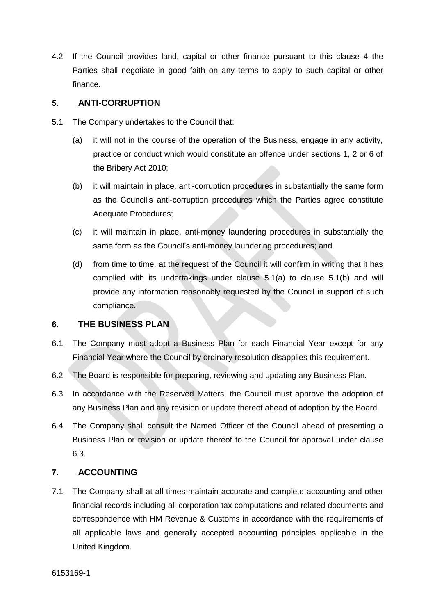4.2 If the Council provides land, capital or other finance pursuant to this clause 4 the Parties shall negotiate in good faith on any terms to apply to such capital or other finance.

#### <span id="page-8-0"></span>**5. ANTI-CORRUPTION**

- <span id="page-8-4"></span><span id="page-8-3"></span>5.1 The Company undertakes to the Council that:
	- (a) it will not in the course of the operation of the Business, engage in any activity, practice or conduct which would constitute an offence under sections 1, 2 or 6 of the Bribery Act 2010;
	- (b) it will maintain in place, anti-corruption procedures in substantially the same form as the Council's anti-corruption procedures which the Parties agree constitute Adequate Procedures;
	- (c) it will maintain in place, anti-money laundering procedures in substantially the same form as the Council's anti-money laundering procedures; and
	- (d) from time to time, at the request of the Council it will confirm in writing that it has complied with its undertakings under clause [5.1\(a\)](#page-8-3) to clause 5.[1\(b\)](#page-8-4) and will provide any information reasonably requested by the Council in support of such compliance.

#### <span id="page-8-1"></span>**6. THE BUSINESS PLAN**

- 6.1 The Company must adopt a Business Plan for each Financial Year except for any Financial Year where the Council by ordinary resolution disapplies this requirement.
- 6.2 The Board is responsible for preparing, reviewing and updating any Business Plan.
- <span id="page-8-5"></span>6.3 In accordance with the Reserved Matters, the Council must approve the adoption of any Business Plan and any revision or update thereof ahead of adoption by the Board.
- 6.4 The Company shall consult the Named Officer of the Council ahead of presenting a Business Plan or revision or update thereof to the Council for approval under clause [6.3.](#page-8-5)

### <span id="page-8-2"></span>**7. ACCOUNTING**

7.1 The Company shall at all times maintain accurate and complete accounting and other financial records including all corporation tax computations and related documents and correspondence with HM Revenue & Customs in accordance with the requirements of all applicable laws and generally accepted accounting principles applicable in the United Kingdom.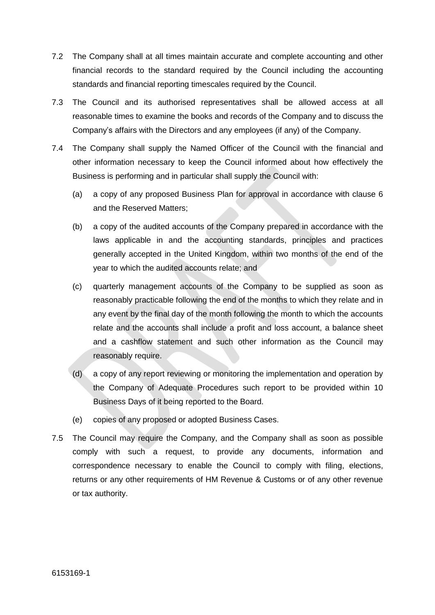- 7.2 The Company shall at all times maintain accurate and complete accounting and other financial records to the standard required by the Council including the accounting standards and financial reporting timescales required by the Council.
- 7.3 The Council and its authorised representatives shall be allowed access at all reasonable times to examine the books and records of the Company and to discuss the Company's affairs with the Directors and any employees (if any) of the Company.
- 7.4 The Company shall supply the Named Officer of the Council with the financial and other information necessary to keep the Council informed about how effectively the Business is performing and in particular shall supply the Council with:
	- (a) a copy of any proposed Business Plan for approval in accordance with clause 6 and the Reserved Matters;
	- (b) a copy of the audited accounts of the Company prepared in accordance with the laws applicable in and the accounting standards, principles and practices generally accepted in the United Kingdom, within two months of the end of the year to which the audited accounts relate; and
	- (c) quarterly management accounts of the Company to be supplied as soon as reasonably practicable following the end of the months to which they relate and in any event by the final day of the month following the month to which the accounts relate and the accounts shall include a profit and loss account, a balance sheet and a cashflow statement and such other information as the Council may reasonably require.
	- (d) a copy of any report reviewing or monitoring the implementation and operation by the Company of Adequate Procedures such report to be provided within 10 Business Days of it being reported to the Board.
	- (e) copies of any proposed or adopted Business Cases.
- 7.5 The Council may require the Company, and the Company shall as soon as possible comply with such a request, to provide any documents, information and correspondence necessary to enable the Council to comply with filing, elections, returns or any other requirements of HM Revenue & Customs or of any other revenue or tax authority.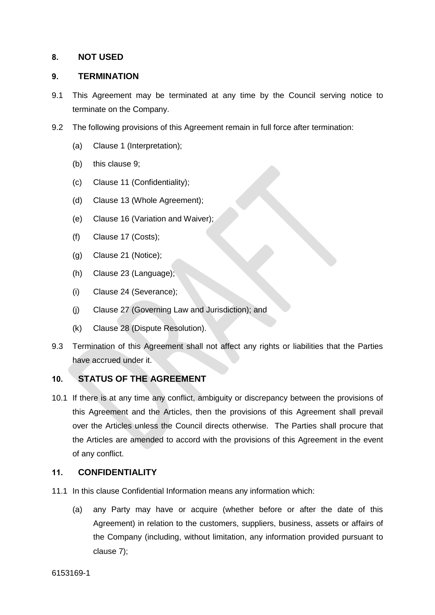#### <span id="page-10-0"></span>**8. NOT USED**

#### <span id="page-10-1"></span>**9. TERMINATION**

- 9.1 This Agreement may be terminated at any time by the Council serving notice to terminate on the Company.
- 9.2 The following provisions of this Agreement remain in full force after termination:
	- (a) Clause [1](#page-2-0) (Interpretation);
	- (b) this clause 9;
	- (c) Clause [11](#page-10-3) (Confidentiality);
	- (d) Clause [13](#page-14-0) (Whole Agreement);
	- (e) Clause [16](#page-14-3) (Variation and Waiver);
	- (f) Clause [17](#page-15-0) (Costs);
	- (g) Clause [21](#page-15-4) (Notice);
	- (h) Clause [23](#page-17-1) (Language);
	- (i) Clause [24](#page-17-2) (Severance);
	- (j) Clause [27](#page-18-1) (Governing Law and Jurisdiction); and
	- (k) Clause 28 (Dispute Resolution).
- 9.3 Termination of this Agreement shall not affect any rights or liabilities that the Parties have accrued under it.

#### <span id="page-10-2"></span>**10. STATUS OF THE AGREEMENT**

10.1 If there is at any time any conflict, ambiguity or discrepancy between the provisions of this Agreement and the Articles, then the provisions of this Agreement shall prevail over the Articles unless the Council directs otherwise. The Parties shall procure that the Articles are amended to accord with the provisions of this Agreement in the event of any conflict.

#### <span id="page-10-3"></span>**11. CONFIDENTIALITY**

- 11.1 In this clause Confidential Information means any information which:
	- (a) any Party may have or acquire (whether before or after the date of this Agreement) in relation to the customers, suppliers, business, assets or affairs of the Company (including, without limitation, any information provided pursuant to clause [7\)](#page-8-2);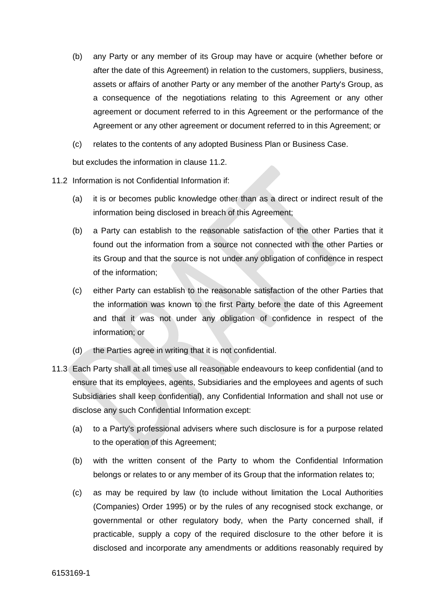- (b) any Party or any member of its Group may have or acquire (whether before or after the date of this Agreement) in relation to the customers, suppliers, business, assets or affairs of another Party or any member of the another Party's Group, as a consequence of the negotiations relating to this Agreement or any other agreement or document referred to in this Agreement or the performance of the Agreement or any other agreement or document referred to in this Agreement; or
- (c) relates to the contents of any adopted Business Plan or Business Case.

but excludes the information in clause [11.2.](#page-11-0)

- <span id="page-11-0"></span>11.2 Information is not Confidential Information if:
	- (a) it is or becomes public knowledge other than as a direct or indirect result of the information being disclosed in breach of this Agreement;
	- (b) a Party can establish to the reasonable satisfaction of the other Parties that it found out the information from a source not connected with the other Parties or its Group and that the source is not under any obligation of confidence in respect of the information;
	- (c) either Party can establish to the reasonable satisfaction of the other Parties that the information was known to the first Party before the date of this Agreement and that it was not under any obligation of confidence in respect of the information; or
	- (d) the Parties agree in writing that it is not confidential.
- <span id="page-11-1"></span>11.3 Each Party shall at all times use all reasonable endeavours to keep confidential (and to ensure that its employees, agents, Subsidiaries and the employees and agents of such Subsidiaries shall keep confidential), any Confidential Information and shall not use or disclose any such Confidential Information except:
	- (a) to a Party's professional advisers where such disclosure is for a purpose related to the operation of this Agreement;
	- (b) with the written consent of the Party to whom the Confidential Information belongs or relates to or any member of its Group that the information relates to;
	- (c) as may be required by law (to include without limitation the Local Authorities (Companies) Order 1995) or by the rules of any recognised stock exchange, or governmental or other regulatory body, when the Party concerned shall, if practicable, supply a copy of the required disclosure to the other before it is disclosed and incorporate any amendments or additions reasonably required by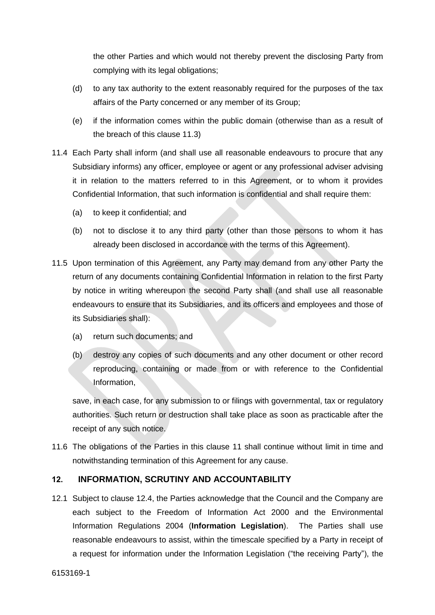the other Parties and which would not thereby prevent the disclosing Party from complying with its legal obligations;

- (d) to any tax authority to the extent reasonably required for the purposes of the tax affairs of the Party concerned or any member of its Group;
- (e) if the information comes within the public domain (otherwise than as a result of the breach of this clause [11.3\)](#page-11-1)
- 11.4 Each Party shall inform (and shall use all reasonable endeavours to procure that any Subsidiary informs) any officer, employee or agent or any professional adviser advising it in relation to the matters referred to in this Agreement, or to whom it provides Confidential Information, that such information is confidential and shall require them:
	- (a) to keep it confidential; and
	- (b) not to disclose it to any third party (other than those persons to whom it has already been disclosed in accordance with the terms of this Agreement).
- 11.5 Upon termination of this Agreement, any Party may demand from any other Party the return of any documents containing Confidential Information in relation to the first Party by notice in writing whereupon the second Party shall (and shall use all reasonable endeavours to ensure that its Subsidiaries, and its officers and employees and those of its Subsidiaries shall):
	- (a) return such documents; and
	- (b) destroy any copies of such documents and any other document or other record reproducing, containing or made from or with reference to the Confidential Information,

save, in each case, for any submission to or filings with governmental, tax or regulatory authorities. Such return or destruction shall take place as soon as practicable after the receipt of any such notice.

11.6 The obligations of the Parties in this clause [11](#page-10-3) shall continue without limit in time and notwithstanding termination of this Agreement for any cause.

#### <span id="page-12-0"></span>**12. INFORMATION, SCRUTINY AND ACCOUNTABILITY**

12.1 Subject to clause 12.4, the Parties acknowledge that the Council and the Company are each subject to the Freedom of Information Act 2000 and the Environmental Information Regulations 2004 (**Information Legislation**). The Parties shall use reasonable endeavours to assist, within the timescale specified by a Party in receipt of a request for information under the Information Legislation ("the receiving Party"), the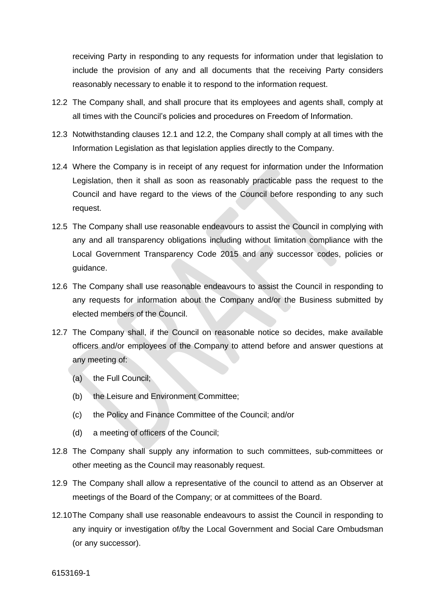receiving Party in responding to any requests for information under that legislation to include the provision of any and all documents that the receiving Party considers reasonably necessary to enable it to respond to the information request.

- 12.2 The Company shall, and shall procure that its employees and agents shall, comply at all times with the Council's policies and procedures on Freedom of Information.
- 12.3 Notwithstanding clauses 12.1 and 12.2, the Company shall comply at all times with the Information Legislation as that legislation applies directly to the Company.
- 12.4 Where the Company is in receipt of any request for information under the Information Legislation, then it shall as soon as reasonably practicable pass the request to the Council and have regard to the views of the Council before responding to any such request.
- 12.5 The Company shall use reasonable endeavours to assist the Council in complying with any and all transparency obligations including without limitation compliance with the Local Government Transparency Code 2015 and any successor codes, policies or guidance.
- 12.6 The Company shall use reasonable endeavours to assist the Council in responding to any requests for information about the Company and/or the Business submitted by elected members of the Council.
- 12.7 The Company shall, if the Council on reasonable notice so decides, make available officers and/or employees of the Company to attend before and answer questions at any meeting of:
	- (a) the Full Council;
	- (b) the Leisure and Environment Committee;
	- (c) the Policy and Finance Committee of the Council; and/or
	- (d) a meeting of officers of the Council;
- 12.8 The Company shall supply any information to such committees, sub-committees or other meeting as the Council may reasonably request.
- 12.9 The Company shall allow a representative of the council to attend as an Observer at meetings of the Board of the Company; or at committees of the Board.
- 12.10The Company shall use reasonable endeavours to assist the Council in responding to any inquiry or investigation of/by the Local Government and Social Care Ombudsman (or any successor).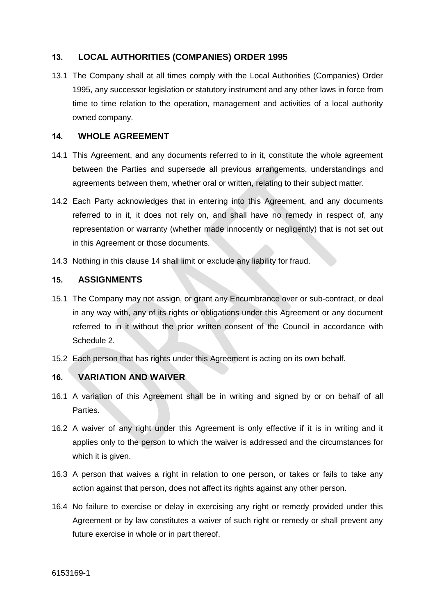#### <span id="page-14-0"></span>**13. LOCAL AUTHORITIES (COMPANIES) ORDER 1995**

13.1 The Company shall at all times comply with the Local Authorities (Companies) Order 1995, any successor legislation or statutory instrument and any other laws in force from time to time relation to the operation, management and activities of a local authority owned company.

#### <span id="page-14-1"></span>**14. WHOLE AGREEMENT**

- 14.1 This Agreement, and any documents referred to in it, constitute the whole agreement between the Parties and supersede all previous arrangements, understandings and agreements between them, whether oral or written, relating to their subject matter.
- 14.2 Each Party acknowledges that in entering into this Agreement, and any documents referred to in it, it does not rely on, and shall have no remedy in respect of, any representation or warranty (whether made innocently or negligently) that is not set out in this Agreement or those documents.
- 14.3 Nothing in this clause 14 shall limit or exclude any liability for fraud.

#### <span id="page-14-2"></span>**15. ASSIGNMENTS**

- 15.1 The Company may not assign, or grant any Encumbrance over or sub-contract, or deal in any way with, any of its rights or obligations under this Agreement or any document referred to in it without the prior written consent of the Council in accordance with Schedule 2.
- 15.2 Each person that has rights under this Agreement is acting on its own behalf.

#### <span id="page-14-3"></span>**16. VARIATION AND WAIVER**

- 16.1 A variation of this Agreement shall be in writing and signed by or on behalf of all Parties.
- 16.2 A waiver of any right under this Agreement is only effective if it is in writing and it applies only to the person to which the waiver is addressed and the circumstances for which it is given.
- 16.3 A person that waives a right in relation to one person, or takes or fails to take any action against that person, does not affect its rights against any other person.
- 16.4 No failure to exercise or delay in exercising any right or remedy provided under this Agreement or by law constitutes a waiver of such right or remedy or shall prevent any future exercise in whole or in part thereof.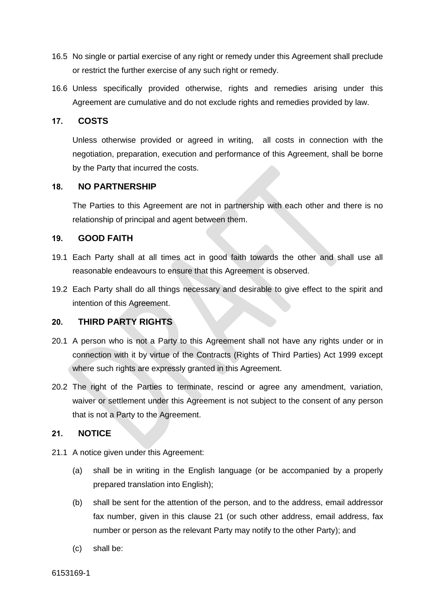- 16.5 No single or partial exercise of any right or remedy under this Agreement shall preclude or restrict the further exercise of any such right or remedy.
- 16.6 Unless specifically provided otherwise, rights and remedies arising under this Agreement are cumulative and do not exclude rights and remedies provided by law.

#### <span id="page-15-0"></span>**17. COSTS**

Unless otherwise provided or agreed in writing, all costs in connection with the negotiation, preparation, execution and performance of this Agreement, shall be borne by the Party that incurred the costs.

#### <span id="page-15-1"></span>**18. NO PARTNERSHIP**

The Parties to this Agreement are not in partnership with each other and there is no relationship of principal and agent between them.

#### <span id="page-15-2"></span>**19. GOOD FAITH**

- 19.1 Each Party shall at all times act in good faith towards the other and shall use all reasonable endeavours to ensure that this Agreement is observed.
- 19.2 Each Party shall do all things necessary and desirable to give effect to the spirit and intention of this Agreement.

#### <span id="page-15-3"></span>**20. THIRD PARTY RIGHTS**

- 20.1 A person who is not a Party to this Agreement shall not have any rights under or in connection with it by virtue of the Contracts (Rights of Third Parties) Act 1999 except where such rights are expressly granted in this Agreement.
- 20.2 The right of the Parties to terminate, rescind or agree any amendment, variation, waiver or settlement under this Agreement is not subject to the consent of any person that is not a Party to the Agreement.

#### <span id="page-15-4"></span>**21. NOTICE**

- 21.1 A notice given under this Agreement:
	- (a) shall be in writing in the English language (or be accompanied by a properly prepared translation into English);
	- (b) shall be sent for the attention of the person, and to the address, email addressor fax number, given in this clause 21 (or such other address, email address, fax number or person as the relevant Party may notify to the other Party); and
	- (c) shall be: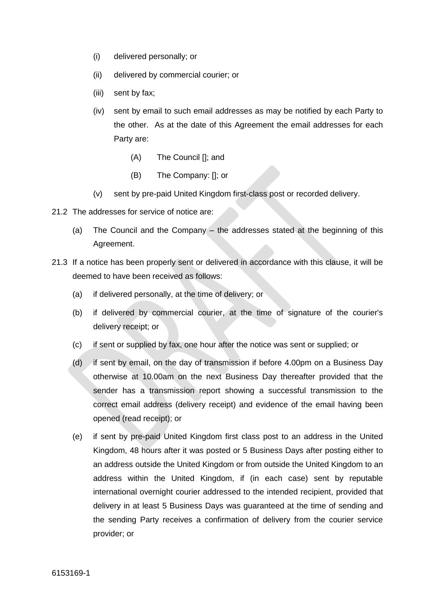- (i) delivered personally; or
- (ii) delivered by commercial courier; or
- (iii) sent by fax;
- (iv) sent by email to such email addresses as may be notified by each Party to the other. As at the date of this Agreement the email addresses for each Party are:
	- (A) The Council []; and
	- (B) The Company: []; or
- (v) sent by pre-paid United Kingdom first-class post or recorded delivery.
- 21.2 The addresses for service of notice are:
	- (a) The Council and the Company the addresses stated at the beginning of this Agreement.
- 21.3 If a notice has been properly sent or delivered in accordance with this clause, it will be deemed to have been received as follows:
	- (a) if delivered personally, at the time of delivery; or
	- (b) if delivered by commercial courier, at the time of signature of the courier's delivery receipt; or
	- (c) if sent or supplied by fax, one hour after the notice was sent or supplied; or
	- (d) if sent by email, on the day of transmission if before 4.00pm on a Business Day otherwise at 10.00am on the next Business Day thereafter provided that the sender has a transmission report showing a successful transmission to the correct email address (delivery receipt) and evidence of the email having been opened (read receipt); or
	- (e) if sent by pre-paid United Kingdom first class post to an address in the United Kingdom, 48 hours after it was posted or 5 Business Days after posting either to an address outside the United Kingdom or from outside the United Kingdom to an address within the United Kingdom, if (in each case) sent by reputable international overnight courier addressed to the intended recipient, provided that delivery in at least 5 Business Days was guaranteed at the time of sending and the sending Party receives a confirmation of delivery from the courier service provider; or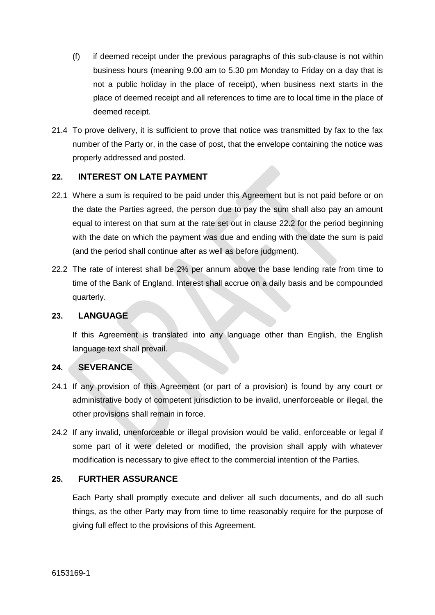- (f) if deemed receipt under the previous paragraphs of this sub-clause is not within business hours (meaning 9.00 am to 5.30 pm Monday to Friday on a day that is not a public holiday in the place of receipt), when business next starts in the place of deemed receipt and all references to time are to local time in the place of deemed receipt.
- 21.4 To prove delivery, it is sufficient to prove that notice was transmitted by fax to the fax number of the Party or, in the case of post, that the envelope containing the notice was properly addressed and posted.

#### <span id="page-17-0"></span>**22. INTEREST ON LATE PAYMENT**

- 22.1 Where a sum is required to be paid under this Agreement but is not paid before or on the date the Parties agreed, the person due to pay the sum shall also pay an amount equal to interest on that sum at the rate set out in clause 22.2 for the period beginning with the date on which the payment was due and ending with the date the sum is paid (and the period shall continue after as well as before judgment).
- 22.2 The rate of interest shall be 2% per annum above the base lending rate from time to time of the Bank of England. Interest shall accrue on a daily basis and be compounded quarterly.

#### <span id="page-17-1"></span>**23. LANGUAGE**

If this Agreement is translated into any language other than English, the English language text shall prevail.

#### <span id="page-17-2"></span>**24. SEVERANCE**

- 24.1 If any provision of this Agreement (or part of a provision) is found by any court or administrative body of competent jurisdiction to be invalid, unenforceable or illegal, the other provisions shall remain in force.
- 24.2 If any invalid, unenforceable or illegal provision would be valid, enforceable or legal if some part of it were deleted or modified, the provision shall apply with whatever modification is necessary to give effect to the commercial intention of the Parties.

#### <span id="page-17-3"></span>**25. FURTHER ASSURANCE**

Each Party shall promptly execute and deliver all such documents, and do all such things, as the other Party may from time to time reasonably require for the purpose of giving full effect to the provisions of this Agreement.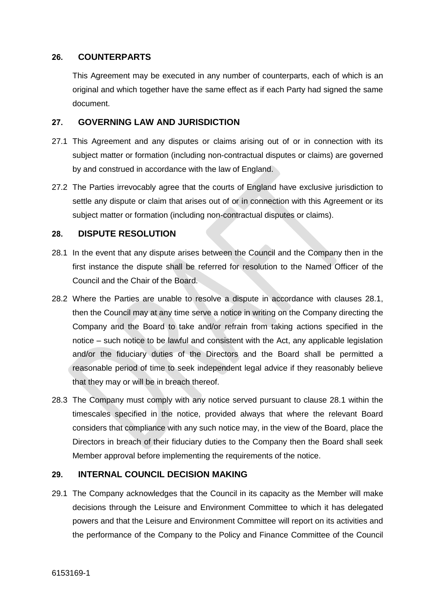#### <span id="page-18-0"></span>**26. COUNTERPARTS**

This Agreement may be executed in any number of counterparts, each of which is an original and which together have the same effect as if each Party had signed the same document.

#### <span id="page-18-1"></span>**27. GOVERNING LAW AND JURISDICTION**

- 27.1 This Agreement and any disputes or claims arising out of or in connection with its subject matter or formation (including non-contractual disputes or claims) are governed by and construed in accordance with the law of England.
- 27.2 The Parties irrevocably agree that the courts of England have exclusive jurisdiction to settle any dispute or claim that arises out of or in connection with this Agreement or its subject matter or formation (including non-contractual disputes or claims).

#### <span id="page-18-2"></span>**28. DISPUTE RESOLUTION**

- 28.1 In the event that any dispute arises between the Council and the Company then in the first instance the dispute shall be referred for resolution to the Named Officer of the Council and the Chair of the Board.
- 28.2 Where the Parties are unable to resolve a dispute in accordance with clauses 28.1, then the Council may at any time serve a notice in writing on the Company directing the Company and the Board to take and/or refrain from taking actions specified in the notice – such notice to be lawful and consistent with the Act, any applicable legislation and/or the fiduciary duties of the Directors and the Board shall be permitted a reasonable period of time to seek independent legal advice if they reasonably believe that they may or will be in breach thereof.
- 28.3 The Company must comply with any notice served pursuant to clause 28.1 within the timescales specified in the notice, provided always that where the relevant Board considers that compliance with any such notice may, in the view of the Board, place the Directors in breach of their fiduciary duties to the Company then the Board shall seek Member approval before implementing the requirements of the notice.

#### <span id="page-18-3"></span>**29. INTERNAL COUNCIL DECISION MAKING**

29.1 The Company acknowledges that the Council in its capacity as the Member will make decisions through the Leisure and Environment Committee to which it has delegated powers and that the Leisure and Environment Committee will report on its activities and the performance of the Company to the Policy and Finance Committee of the Council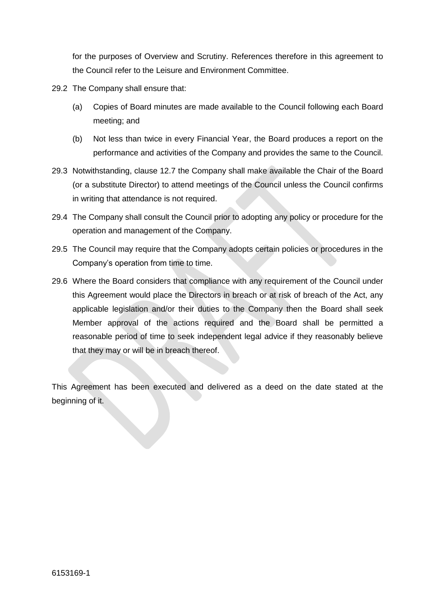for the purposes of Overview and Scrutiny. References therefore in this agreement to the Council refer to the Leisure and Environment Committee.

- 29.2 The Company shall ensure that:
	- (a) Copies of Board minutes are made available to the Council following each Board meeting; and
	- (b) Not less than twice in every Financial Year, the Board produces a report on the performance and activities of the Company and provides the same to the Council.
- 29.3 Notwithstanding, clause 12.7 the Company shall make available the Chair of the Board (or a substitute Director) to attend meetings of the Council unless the Council confirms in writing that attendance is not required.
- 29.4 The Company shall consult the Council prior to adopting any policy or procedure for the operation and management of the Company.
- 29.5 The Council may require that the Company adopts certain policies or procedures in the Company's operation from time to time.
- 29.6 Where the Board considers that compliance with any requirement of the Council under this Agreement would place the Directors in breach or at risk of breach of the Act, any applicable legislation and/or their duties to the Company then the Board shall seek Member approval of the actions required and the Board shall be permitted a reasonable period of time to seek independent legal advice if they reasonably believe that they may or will be in breach thereof.

This Agreement has been executed and delivered as a deed on the date stated at the beginning of it.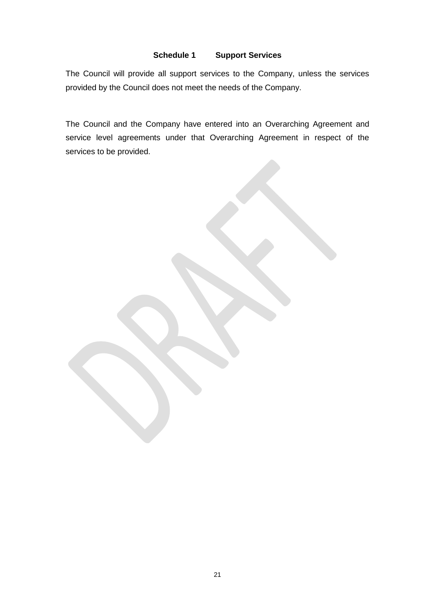#### **Schedule 1 Support Services**

<span id="page-20-0"></span>The Council will provide all support services to the Company, unless the services provided by the Council does not meet the needs of the Company.

The Council and the Company have entered into an Overarching Agreement and service level agreements under that Overarching Agreement in respect of the services to be provided.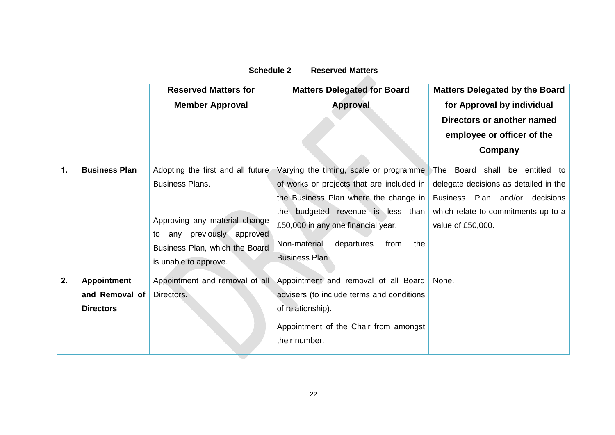# **Schedule 2 Reserved Matters**

<span id="page-21-0"></span>

|    |                      | <b>Reserved Matters for</b>       | <b>Matters Delegated for Board</b>        | <b>Matters Delegated by the Board</b> |
|----|----------------------|-----------------------------------|-------------------------------------------|---------------------------------------|
|    |                      | <b>Member Approval</b>            | <b>Approval</b>                           | for Approval by individual            |
|    |                      |                                   |                                           | Directors or another named            |
|    |                      |                                   |                                           | employee or officer of the            |
|    |                      |                                   |                                           | Company                               |
| 1. | <b>Business Plan</b> | Adopting the first and all future | Varying the timing, scale or programme    | Board shall be entitled to<br>⊺he     |
|    |                      | <b>Business Plans.</b>            | of works or projects that are included in | delegate decisions as detailed in the |
|    |                      |                                   | the Business Plan where the change in     | Business Plan and/or decisions        |
|    |                      |                                   | budgeted revenue is less than<br>the      | which relate to commitments up to a   |
|    |                      | Approving any material change     | £50,000 in any one financial year.        | value of £50,000.                     |
|    |                      | any previously approved<br>to     | Non-material<br>departures<br>the<br>from |                                       |
|    |                      | Business Plan, which the Board    | <b>Business Plan</b>                      |                                       |
|    |                      | is unable to approve.             |                                           |                                       |
| 2. | <b>Appointment</b>   | Appointment and removal of all    | Appointment and removal of all Board      | None.                                 |
|    | and Removal of       | Directors.                        | advisers (to include terms and conditions |                                       |
|    | <b>Directors</b>     |                                   | of relationship).                         |                                       |
|    |                      |                                   | Appointment of the Chair from amongst     |                                       |
|    |                      |                                   | their number.                             |                                       |

 $\overline{\phantom{0}}$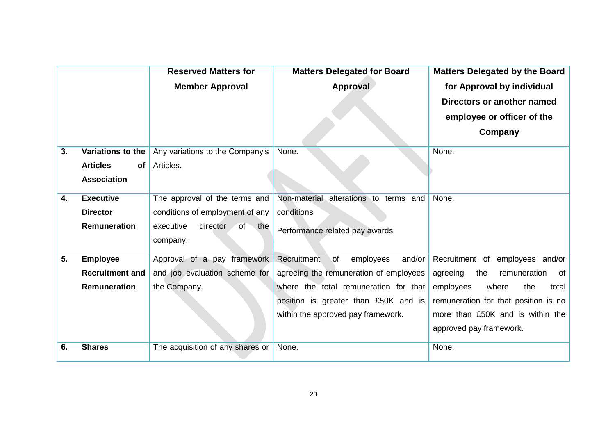|    |                              | <b>Reserved Matters for</b>      | <b>Matters Delegated for Board</b>              | <b>Matters Delegated by the Board</b> |
|----|------------------------------|----------------------------------|-------------------------------------------------|---------------------------------------|
|    |                              | <b>Member Approval</b>           | Approval                                        | for Approval by individual            |
|    |                              |                                  |                                                 | Directors or another named            |
|    |                              |                                  |                                                 | employee or officer of the            |
|    |                              |                                  |                                                 | Company                               |
| 3. | Variations to the            | Any variations to the Company's  | None.                                           | None.                                 |
|    | <b>Articles</b><br><b>of</b> | Articles.                        |                                                 |                                       |
|    | <b>Association</b>           |                                  |                                                 |                                       |
| 4. | <b>Executive</b>             | The approval of the terms and    | Non-material<br>alterations to terms and        | None.                                 |
|    | <b>Director</b>              | conditions of employment of any  | conditions                                      |                                       |
|    | Remuneration                 | director<br>of the<br>executive  | Performance related pay awards                  |                                       |
|    |                              | company.                         |                                                 |                                       |
| 5. | <b>Employee</b>              | Approval of a pay framework      | Recruitment<br>and/or<br>$\circ$ f<br>employees | Recruitment of employees and/or       |
|    | <b>Recruitment and</b>       | and job evaluation scheme for    | agreeing the remuneration of employees          | of<br>agreeing<br>the<br>remuneration |
|    | <b>Remuneration</b>          | the Company.                     | where the total remuneration for that           | the<br>employees<br>where<br>total    |
|    |                              |                                  | position is greater than £50K and is            | remuneration for that position is no  |
|    |                              |                                  | within the approved pay framework.              | more than £50K and is within the      |
|    |                              |                                  |                                                 | approved pay framework.               |
| 6. | <b>Shares</b>                | The acquisition of any shares or | None.                                           | None.                                 |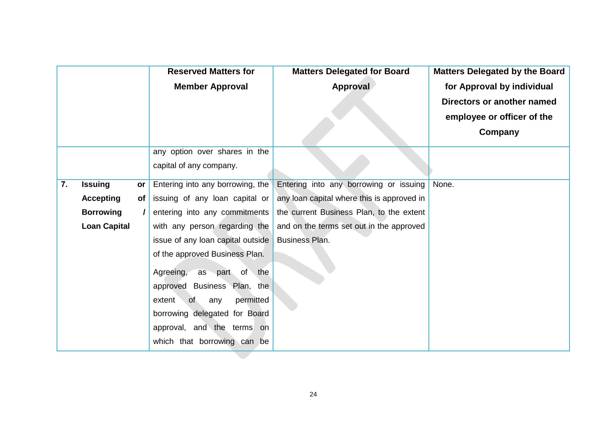|    |                     |          | <b>Reserved Matters for</b>       | <b>Matters Delegated for Board</b>         | <b>Matters Delegated by the Board</b> |
|----|---------------------|----------|-----------------------------------|--------------------------------------------|---------------------------------------|
|    |                     |          | <b>Member Approval</b>            | Approval                                   | for Approval by individual            |
|    |                     |          |                                   |                                            | Directors or another named            |
|    |                     |          |                                   |                                            | employee or officer of the            |
|    |                     |          |                                   |                                            | Company                               |
|    |                     |          | any option over shares in the     |                                            |                                       |
|    |                     |          | capital of any company.           |                                            |                                       |
| 7. | <b>Issuing</b>      | or       | Entering into any borrowing, the  | Entering into any borrowing or issuing     | None.                                 |
|    | <b>Accepting</b>    | of       | issuing of any loan capital or    | any loan capital where this is approved in |                                       |
|    | <b>Borrowing</b>    | $\prime$ | entering into any commitments     | the current Business Plan, to the extent   |                                       |
|    | <b>Loan Capital</b> |          | with any person regarding the     | and on the terms set out in the approved   |                                       |
|    |                     |          | issue of any loan capital outside | <b>Business Plan.</b>                      |                                       |
|    |                     |          | of the approved Business Plan.    |                                            |                                       |
|    |                     |          | Agreeing, as part of the          |                                            |                                       |
|    |                     |          | approved Business Plan, the       |                                            |                                       |
|    |                     |          | permitted<br>extent<br>of<br>any  |                                            |                                       |
|    |                     |          | borrowing delegated for Board     |                                            |                                       |
|    |                     |          | approval, and the terms on        |                                            |                                       |
|    |                     |          | which that borrowing can be       |                                            |                                       |
|    |                     |          |                                   |                                            |                                       |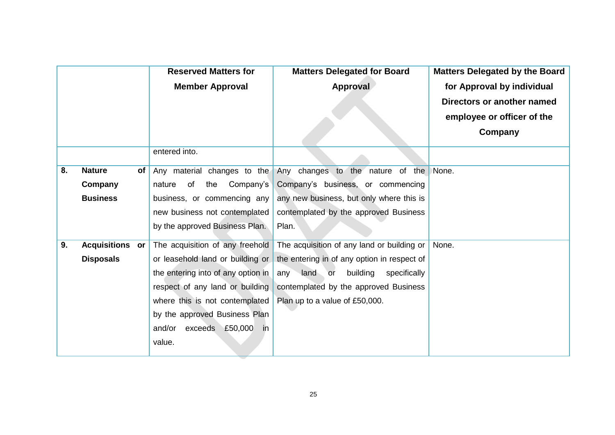|    |                        |    | <b>Reserved Matters for</b>        | <b>Matters Delegated for Board</b>                           | <b>Matters Delegated by the Board</b> |
|----|------------------------|----|------------------------------------|--------------------------------------------------------------|---------------------------------------|
|    |                        |    | <b>Member Approval</b>             | Approval                                                     | for Approval by individual            |
|    |                        |    |                                    |                                                              | Directors or another named            |
|    |                        |    |                                    |                                                              | employee or officer of the            |
|    |                        |    |                                    |                                                              | Company                               |
|    |                        |    | entered into.                      |                                                              |                                       |
| 8. | <b>Nature</b>          | of |                                    | Any material changes to the Any changes to the nature of the | None.                                 |
|    | Company                |    | the<br>Company's<br>of<br>nature   | Company's business, or commencing                            |                                       |
|    | <b>Business</b>        |    | business, or commencing any        | any new business, but only where this is                     |                                       |
|    |                        |    | new business not contemplated      | contemplated by the approved Business                        |                                       |
|    |                        |    | by the approved Business Plan.     | Plan.                                                        |                                       |
| 9. | <b>Acquisitions or</b> |    | The acquisition of any freehold    | The acquisition of any land or building or                   | None.                                 |
|    | <b>Disposals</b>       |    | or leasehold land or building or   | the entering in of any option in respect of                  |                                       |
|    |                        |    | the entering into of any option in | any land or<br>building<br>specifically                      |                                       |
|    |                        |    | respect of any land or building    | contemplated by the approved Business                        |                                       |
|    |                        |    | where this is not contemplated     | Plan up to a value of £50,000.                               |                                       |
|    |                        |    | by the approved Business Plan      |                                                              |                                       |
|    |                        |    | and/or exceeds £50,000<br>in       |                                                              |                                       |
|    |                        |    | value.                             |                                                              |                                       |
|    |                        |    |                                    |                                                              |                                       |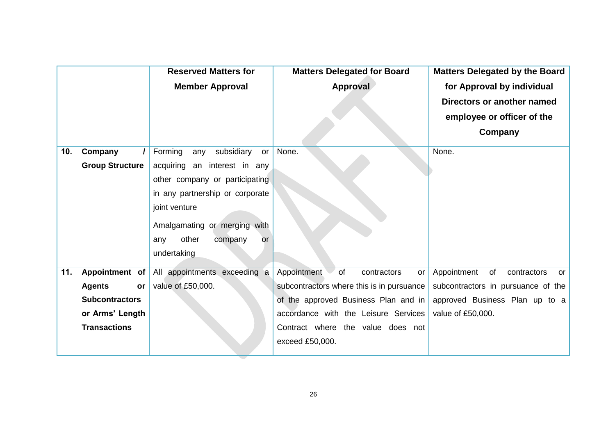|     |                        | <b>Reserved Matters for</b>        | <b>Matters Delegated for Board</b>        | <b>Matters Delegated by the Board</b>  |
|-----|------------------------|------------------------------------|-------------------------------------------|----------------------------------------|
|     |                        | <b>Member Approval</b>             | Approval                                  | for Approval by individual             |
|     |                        |                                    |                                           | Directors or another named             |
|     |                        |                                    |                                           | employee or officer of the             |
|     |                        |                                    |                                           | Company                                |
|     |                        |                                    |                                           |                                        |
| 10. | Company                | Forming<br>subsidiary<br>any<br>or | None.                                     | None.                                  |
|     | <b>Group Structure</b> | acquiring an interest in any       |                                           |                                        |
|     |                        | other company or participating     |                                           |                                        |
|     |                        | in any partnership or corporate    |                                           |                                        |
|     |                        | joint venture                      |                                           |                                        |
|     |                        |                                    |                                           |                                        |
|     |                        | Amalgamating or merging with       |                                           |                                        |
|     |                        | other<br>company<br>any<br>or      |                                           |                                        |
|     |                        | undertaking                        |                                           |                                        |
| 11. | Appointment of         | All appointments exceeding a       | Appointment<br>of<br>contractors<br>or    | Appointment<br>of<br>contractors<br>or |
|     | <b>Agents</b><br>or    | value of £50,000.                  | subcontractors where this is in pursuance | subcontractors in pursuance of the     |
|     | <b>Subcontractors</b>  |                                    | of the approved Business Plan and in      | approved Business Plan up to a         |
|     | or Arms' Length        |                                    | accordance with the Leisure Services      | value of £50,000.                      |
|     | <b>Transactions</b>    |                                    | Contract where the value does not         |                                        |
|     |                        |                                    | exceed £50,000.                           |                                        |
|     |                        |                                    |                                           |                                        |

 $\overline{\phantom{0}}$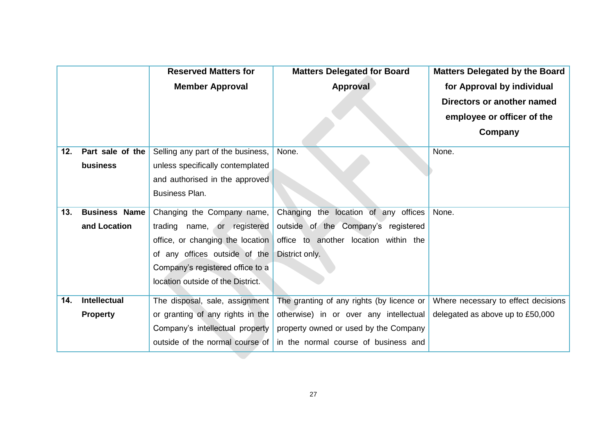|     |                      | <b>Reserved Matters for</b>       | <b>Matters Delegated for Board</b>        | <b>Matters Delegated by the Board</b> |
|-----|----------------------|-----------------------------------|-------------------------------------------|---------------------------------------|
|     |                      | <b>Member Approval</b>            | Approval                                  | for Approval by individual            |
|     |                      |                                   |                                           | Directors or another named            |
|     |                      |                                   |                                           | employee or officer of the            |
|     |                      |                                   |                                           | Company                               |
| 12. | Part sale of the     | Selling any part of the business, | None.                                     | None.                                 |
|     | business             | unless specifically contemplated  |                                           |                                       |
|     |                      | and authorised in the approved    |                                           |                                       |
|     |                      | <b>Business Plan.</b>             |                                           |                                       |
| 13. | <b>Business Name</b> | Changing the Company name,        | Changing the location of any offices      | None.                                 |
|     | and Location         | trading name, or registered       | outside of the Company's registered       |                                       |
|     |                      | office, or changing the location  | office to another location within the     |                                       |
|     |                      | of any offices outside of the     | District only.                            |                                       |
|     |                      | Company's registered office to a  |                                           |                                       |
|     |                      | location outside of the District. |                                           |                                       |
| 14. | Intellectual         | The disposal, sale, assignment    | The granting of any rights (by licence or | Where necessary to effect decisions   |
|     | <b>Property</b>      | or granting of any rights in the  | otherwise) in or over any intellectual    | delegated as above up to £50,000      |
|     |                      | Company's intellectual property   | property owned or used by the Company     |                                       |
|     |                      | outside of the normal course of   | in the normal course of business and      |                                       |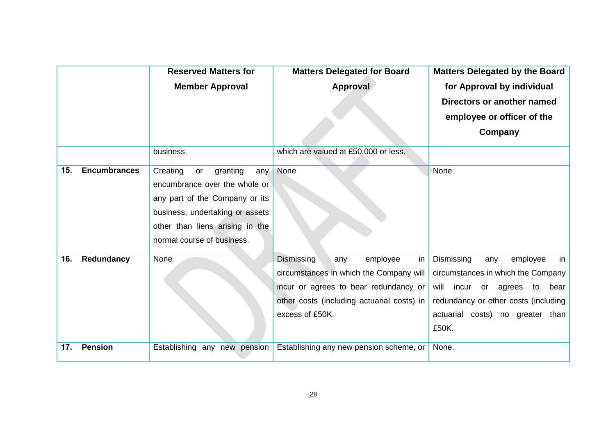|     |                     | <b>Reserved Matters for</b>                                                                                                                                                                              | <b>Matters Delegated for Board</b>                                                                                                                                                              | <b>Matters Delegated by the Board</b>                                                                                                                                                                         |
|-----|---------------------|----------------------------------------------------------------------------------------------------------------------------------------------------------------------------------------------------------|-------------------------------------------------------------------------------------------------------------------------------------------------------------------------------------------------|---------------------------------------------------------------------------------------------------------------------------------------------------------------------------------------------------------------|
|     |                     | <b>Member Approval</b>                                                                                                                                                                                   | Approval                                                                                                                                                                                        | for Approval by individual                                                                                                                                                                                    |
|     |                     |                                                                                                                                                                                                          |                                                                                                                                                                                                 | Directors or another named                                                                                                                                                                                    |
|     |                     |                                                                                                                                                                                                          |                                                                                                                                                                                                 | employee or officer of the                                                                                                                                                                                    |
|     |                     |                                                                                                                                                                                                          |                                                                                                                                                                                                 | Company                                                                                                                                                                                                       |
|     |                     | business.                                                                                                                                                                                                | which are valued at £50,000 or less.                                                                                                                                                            |                                                                                                                                                                                                               |
| 15. | <b>Encumbrances</b> | granting<br>Creating<br>or<br>any<br>encumbrance over the whole or<br>any part of the Company or its<br>business, undertaking or assets<br>other than liens arising in the<br>normal course of business. | None                                                                                                                                                                                            | None                                                                                                                                                                                                          |
| 16. | Redundancy          | None                                                                                                                                                                                                     | <b>Dismissing</b><br>in<br>employee<br>any<br>circumstances in which the Company will<br>incur or agrees to bear redundancy or<br>other costs (including actuarial costs) in<br>excess of £50K. | Dismissing<br>employee<br>in<br>any<br>circumstances in which the Company<br>will<br>incur<br>or<br>agrees<br>bear<br>to<br>redundancy or other costs (including<br>actuarial costs) no greater than<br>£50K. |
| 17. | <b>Pension</b>      | Establishing any new pension                                                                                                                                                                             | Establishing any new pension scheme, or                                                                                                                                                         | None.                                                                                                                                                                                                         |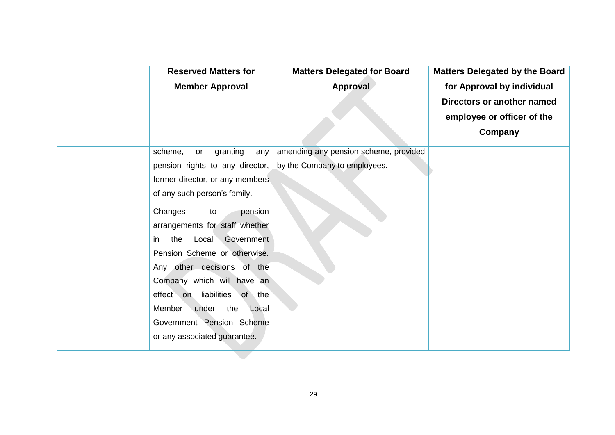| <b>Reserved Matters for</b>      | <b>Matters Delegated for Board</b>    | Matters Delegated by the Board |
|----------------------------------|---------------------------------------|--------------------------------|
| <b>Member Approval</b>           | Approval                              | for Approval by individual     |
|                                  |                                       | Directors or another named     |
|                                  |                                       | employee or officer of the     |
|                                  |                                       | Company                        |
| granting<br>scheme,<br>any<br>or | amending any pension scheme, provided |                                |
| pension rights to any director,  | by the Company to employees.          |                                |
| former director, or any members  |                                       |                                |
| of any such person's family.     |                                       |                                |
| Changes<br>pension<br>to         |                                       |                                |
| arrangements for staff whether   |                                       |                                |
| Local Government<br>the<br>in.   |                                       |                                |
| Pension Scheme or otherwise.     |                                       |                                |
| Any other decisions of the       |                                       |                                |
| Company which will have an       |                                       |                                |
| effect on liabilities of the     |                                       |                                |
| Member<br>under<br>the<br>Local  |                                       |                                |
| Government Pension Scheme        |                                       |                                |
| or any associated guarantee.     |                                       |                                |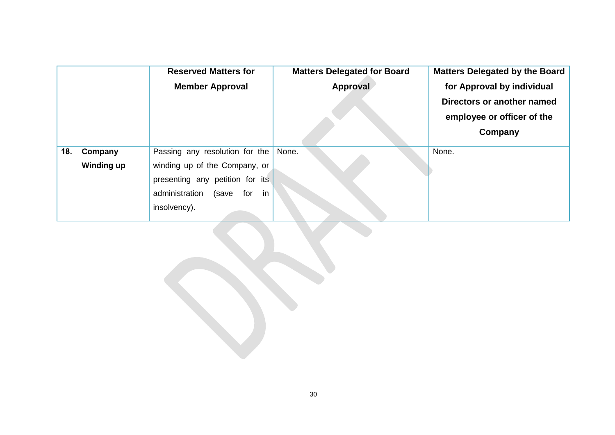|     |                   | <b>Reserved Matters for</b>                                                                                              | <b>Matters Delegated for Board</b> | Matters Delegated by the Board |
|-----|-------------------|--------------------------------------------------------------------------------------------------------------------------|------------------------------------|--------------------------------|
|     |                   | <b>Member Approval</b>                                                                                                   | Approval                           | for Approval by individual     |
|     |                   |                                                                                                                          |                                    | Directors or another named     |
|     |                   |                                                                                                                          |                                    | employee or officer of the     |
|     |                   |                                                                                                                          |                                    | Company                        |
| 18. | Company           | Passing any resolution for the                                                                                           | None.                              | None.                          |
|     | <b>Winding up</b> | winding up of the Company, or<br>presenting any petition for its<br>in<br>administration<br>(save<br>for<br>insolvency). |                                    |                                |